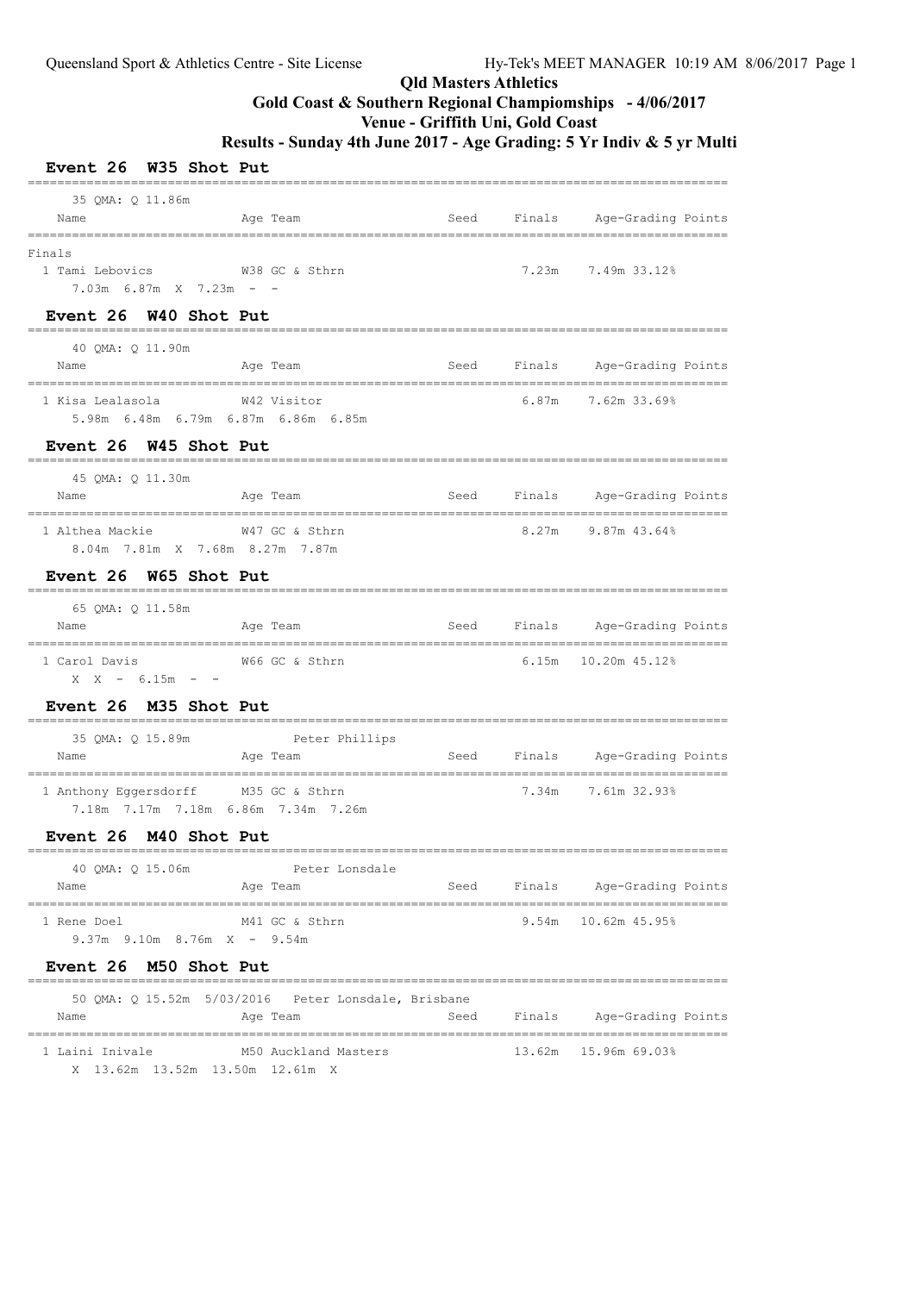# **Gold Coast & Southern Regional Champiomships - 4/06/2017**

**Venue - Griffith Uni, Gold Coast**

| Event 26 W35 Shot Put                                                       |                                                                  |      |       |                                                         |  |
|-----------------------------------------------------------------------------|------------------------------------------------------------------|------|-------|---------------------------------------------------------|--|
| 35 QMA: Q 11.86m<br>Name                                                    | Age Team                                                         | Seed |       | Finals Age-Grading Points                               |  |
| Finals<br>1 Tami Lebovics<br>$7.03m$ 6.87m X 7.23m - -                      | W38 GC & Sthrn                                                   |      | 7.23m | 7.49m 33.12%                                            |  |
| Event 26 W40 Shot Put                                                       | ------------------------                                         |      |       | ----------------                                        |  |
| 40 QMA: Q 11.90m<br>Name                                                    | Age Team                                                         | Seed |       | Finals Age-Grading Points                               |  |
| 1 Kisa Lealasola<br>5.98m 6.48m 6.79m 6.87m 6.86m 6.85m                     | W42 Visitor                                                      |      |       | =================================<br>6.87m 7.62m 33.69% |  |
| Event 26 W45 Shot Put                                                       |                                                                  |      |       |                                                         |  |
| 45 OMA: 0 11.30m<br>Name                                                    | =============================<br>Age Team                        | Seed |       | =============<br>Finals Age-Grading Points              |  |
| 1 Althea Mackie<br>8.04m 7.81m X 7.68m 8.27m 7.87m                          | W47 GC & Sthrn                                                   |      |       | 8.27m 9.87m 43.64%                                      |  |
| Event 26 W65 Shot Put                                                       |                                                                  |      |       |                                                         |  |
| 65 QMA: Q 11.58m<br>Name                                                    | Age Team                                                         | Seed |       | Finals Age-Grading Points                               |  |
| 1 Carol Davis<br>$X \tX - 6.15m - -$                                        | W66 GC & Sthrn                                                   |      |       |                                                         |  |
| Event 26 M35 Shot Put                                                       |                                                                  |      |       |                                                         |  |
| 35 QMA: Q 15.89m<br>Name<br>________________________________                | Peter Phillips<br>Age Team                                       | Seed |       | Finals Age-Grading Points                               |  |
| 1 Anthony Eqqersdorff M35 GC & Sthrn<br>7.18m 7.17m 7.18m 6.86m 7.34m 7.26m |                                                                  |      |       | 7.34m 7.61m 32.93%                                      |  |
| Event 26 M40 Shot Put                                                       |                                                                  |      |       |                                                         |  |
| 40 QMA: Q 15.06m<br>Name                                                    | Peter Lonsdale<br>Age Team                                       | Seed |       | Finals Age-Grading Points                               |  |
| 1 Rene Doel<br>$9.37m$ $9.10m$ $8.76m$ $X - 9.54m$                          | M41 GC & Sthrn                                                   |      |       | 9.54m 10.62m 45.95%                                     |  |
| Event 26 M50 Shot Put                                                       |                                                                  |      |       |                                                         |  |
| Name                                                                        | 50 QMA: Q 15.52m 5/03/2016  Peter Lonsdale, Brisbane<br>Age Team | Seed |       | Finals Age-Grading Points                               |  |
| 1 Laini Inivale<br>X 13.62m 13.52m 13.50m 12.61m X                          | M50 Auckland Masters                                             |      |       | 13.62m 15.96m 69.03%                                    |  |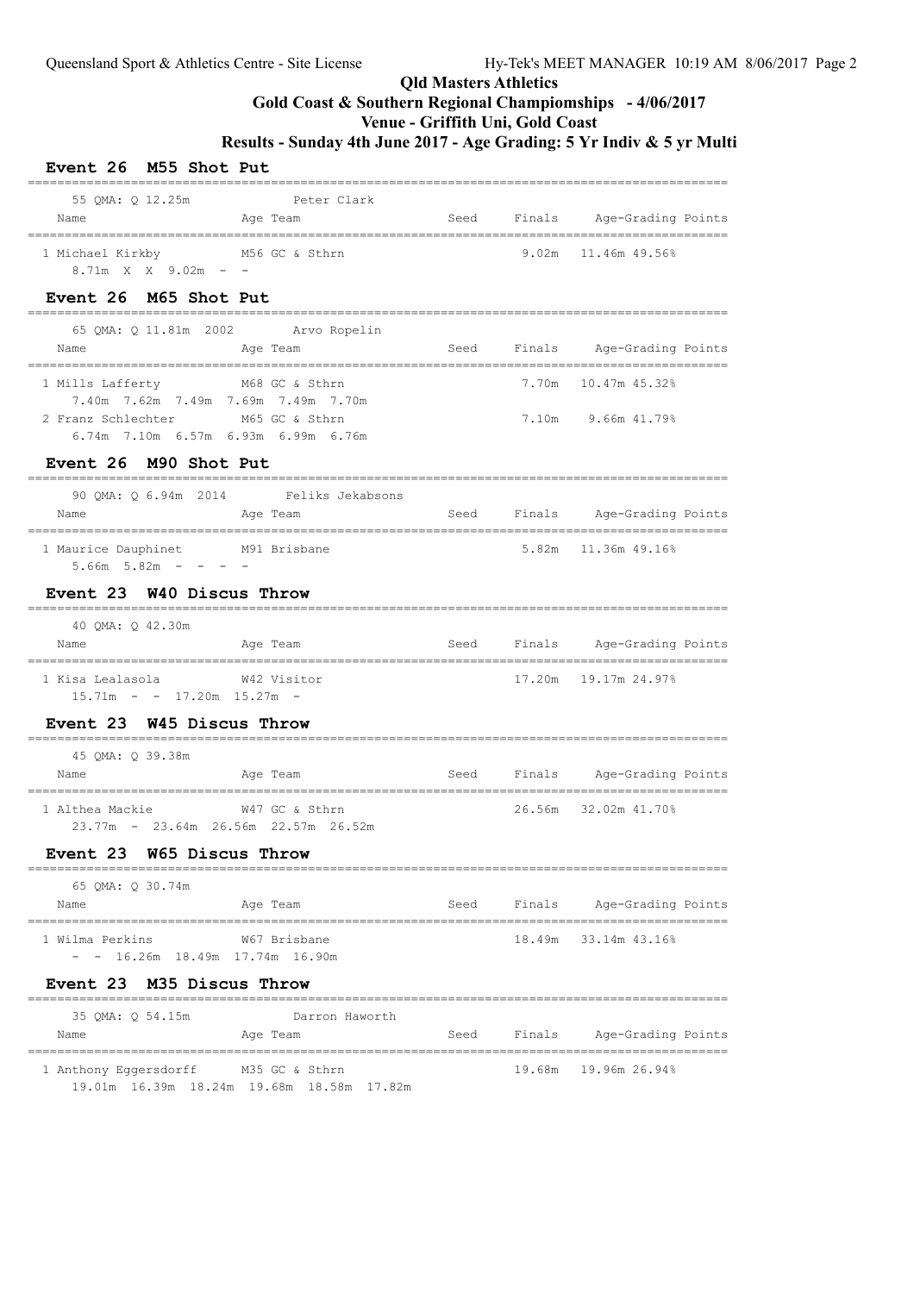### **Qld Masters Athletics Gold Coast & Southern Regional Champiomships - 4/06/2017**

### **Venue - Griffith Uni, Gold Coast**

**Results - Sunday 4th June 2017 - Age Grading: 5 Yr Indiv & 5 yr Multi**

| Event 26 M55 Shot Put                                       |                                                                                         |      |        |                                                                |  |
|-------------------------------------------------------------|-----------------------------------------------------------------------------------------|------|--------|----------------------------------------------------------------|--|
| Name                                                        | 55 QMA: Q 12.25m Peter Clark<br>Age Team                                                |      |        | Seed Finals Age-Grading Points                                 |  |
| 1 Michael Kirkby M56 GC & Sthrn<br>$8.71m$ X X $9.02m$ - -  |                                                                                         |      |        | $9.02m$ 11.46m 49.56%                                          |  |
| Event 26 M65 Shot Put                                       |                                                                                         |      |        |                                                                |  |
| Name                                                        | 65 QMA: Q 11.81m 2002 Arvo Ropelin<br>Age Team                                          | Seed |        | Finals Age-Grading Points                                      |  |
| 1 Mills Lafferty M68 GC & Sthrn                             |                                                                                         |      |        | 7.70m 10.47m 45.32%                                            |  |
| 2 Franz Schlechter M65 GC & Sthrn                           | 7.40m 7.62m 7.49m 7.69m 7.49m 7.70m<br>6.74m 7.10m 6.57m 6.93m 6.99m 6.76m              |      |        | 7.10m 9.66m 41.79%                                             |  |
| Event 26 M90 Shot Put                                       |                                                                                         |      |        |                                                                |  |
| Name                                                        | 90 QMA: Q 6.94m 2014 Feliks Jekabsons<br><b>Seed Seed Seed Algebra 2016</b><br>Age Team |      |        | Finals Age-Grading Points<br>-----------------------           |  |
| 1 Maurice Dauphinet M91 Brisbane<br>$5.66m$ $5.82m$ - - - - |                                                                                         |      |        | 5.82m 11.36m 49.16%                                            |  |
| Event 23 W40 Discus Throw                                   |                                                                                         |      |        |                                                                |  |
| 40 QMA: Q 42.30m<br>Name                                    | Age Team                                                                                |      |        | Seed Finals Age-Grading Points                                 |  |
| 1 Kisa Lealasola<br>$15.71m - - 17.20m$ $15.27m -$          | W42 Visitor                                                                             |      |        | 17.20m    19.17m    24.97%                                     |  |
| Event 23 W45 Discus Throw                                   |                                                                                         |      |        |                                                                |  |
| 45 QMA: Q 39.38m<br>Name                                    | Age Team                                                                                | Seed |        | Finals Age-Grading Points<br>================================= |  |
| 1 Althea Mackie                                             | W47 GC & Sthrn<br>23.77m - 23.64m 26.56m 22.57m 26.52m                                  |      |        | 26.56m 32.02m 41.70%                                           |  |
| Event 23                                                    | W65 Discus Throw<br>========================                                            |      |        |                                                                |  |
| 65 QMA: Q 30.74m<br>Name                                    | Age Team                                                                                | Seed | Finals | Age-Grading Points                                             |  |
| 1 Wilma Perkins<br>$ -$ 16.26m 18.49m 17.74m 16.90m         | W67 Brisbane                                                                            |      | 18.49m | 33.14m 43.16%                                                  |  |
| Event 23 M35 Discus Throw                                   |                                                                                         |      |        |                                                                |  |
| 35 QMA: Q 54.15m<br>Name                                    | Darron Haworth<br>Age Team                                                              | Seed | Finals | Age-Grading Points                                             |  |
| 1 Anthony Eggersdorff                                       | M35 GC & Sthrn                                                                          |      |        | 19.68m 19.96m 26.94%                                           |  |

19.01m 16.39m 18.24m 19.68m 18.58m 17.82m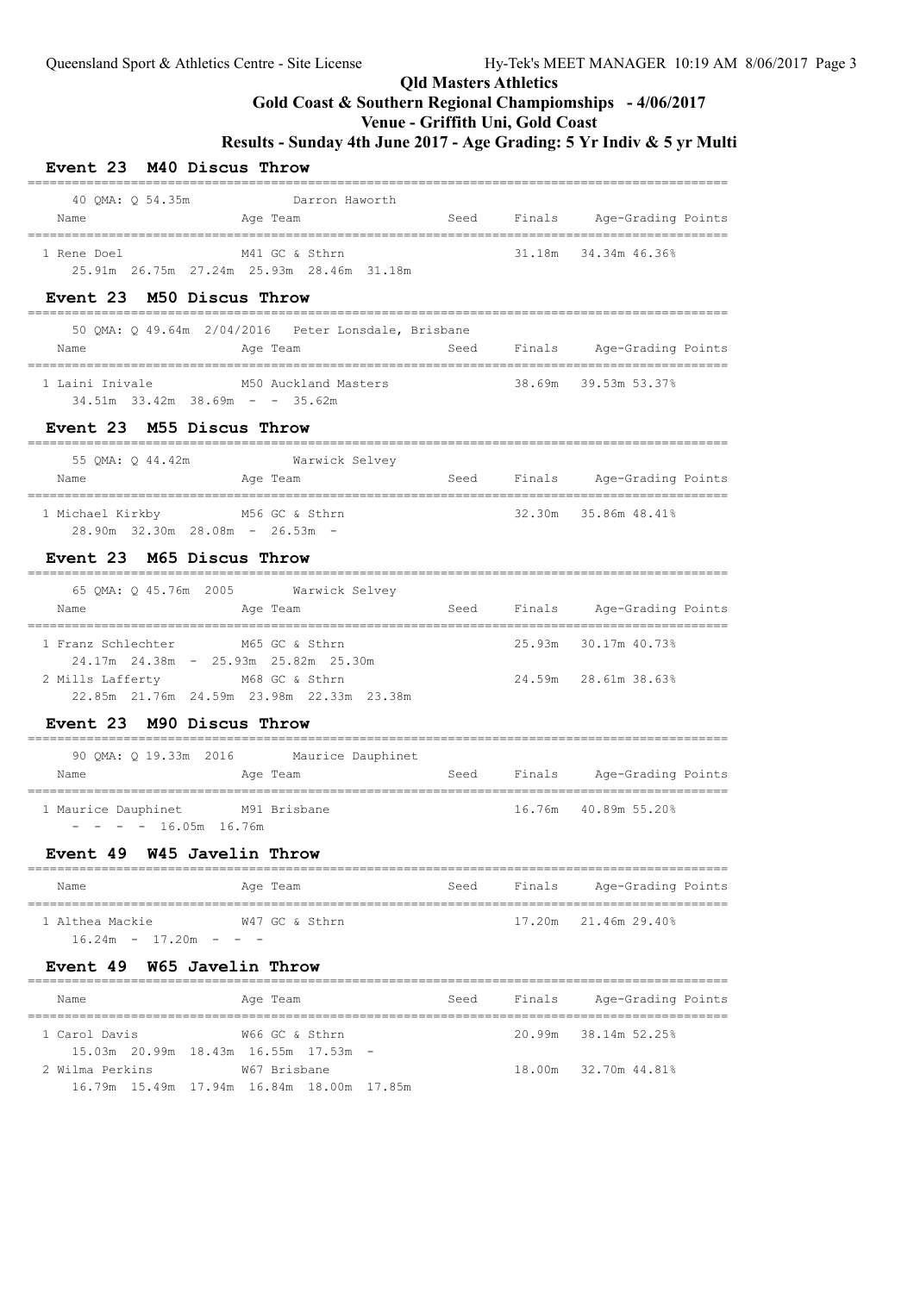## **Gold Coast & Southern Regional Champiomships - 4/06/2017**

===============================================================================================

===============================================================================================

### **Venue - Griffith Uni, Gold Coast**

**Results - Sunday 4th June 2017 - Age Grading: 5 Yr Indiv & 5 yr Multi**

#### **Event 23 M40 Discus Throw** ===============================================================================================

| 40 OMA: 0 54.35m | Darron Haworth                                        |      |        |                    |
|------------------|-------------------------------------------------------|------|--------|--------------------|
| Name             | Age Team                                              | Seed | Finals | Age-Grading Points |
|                  |                                                       |      |        |                    |
| 1 Rene Doel      | M41 GC & Sthrn                                        |      | 31.18m | 34.34m 46.36%      |
|                  | $25.91m$ $26.75m$ $27.24m$ $25.93m$ $28.46m$ $31.18m$ |      |        |                    |

#### **Event 23 M50 Discus Throw**

|                 | 50 OMA: 0 49.64m 2/04/2016 Peter Lonsdale, Brisbane             |      |        |                      |
|-----------------|-----------------------------------------------------------------|------|--------|----------------------|
| Name            | Age Team                                                        | Seed | Finals | Age-Grading Points   |
| 1 Laini Inivale | M50 Auckland Masters<br>$34.51m$ $33.42m$ $38.69m$ - - $35.62m$ |      |        | 38.69m 39.53m 53.37% |

#### **Event 23 M55 Discus Throw**

| 55 OMA: 0 44.42m                                        | Warwick Selvey |      |        |                      |
|---------------------------------------------------------|----------------|------|--------|----------------------|
| Name                                                    | Age Team       | Seed | Finals | Age-Grading Points   |
| 1 Michael Kirkby<br>$28.90m$ 32.30m $28.08m$ - 26.53m - | M56 GC & Sthrn |      |        | 32.30m 35.86m 48.41% |

#### **Event 23 M65 Discus Throw**

| 65 OMA: 0 45.76m 2005<br>Name | Warwick Selvey<br>Age Team                     | Seed | Finals | Age-Grading Points   |
|-------------------------------|------------------------------------------------|------|--------|----------------------|
| 1 Franz Schlechter            | M65 GC & Sthrn                                 |      |        | 25.93m 30.17m 40.73% |
|                               | $24.17m$ $24.38m$ - $25.93m$ $25.82m$ $25.30m$ |      |        |                      |
| 2 Mills Lafferty              | M68 GC & Sthrn                                 |      |        | 24.59m 28.61m 38.63% |
|                               | 22.85m 21.76m 24.59m 23.98m 22.33m 23.38m      |      |        |                      |

#### **Event 23 M90 Discus Throw**

| 90 OMA: 0 19.33m 2016<br>Name                   | Age Team | Maurice Dauphinet | Seed | Finals | Age-Grading Points   |
|-------------------------------------------------|----------|-------------------|------|--------|----------------------|
| 1 Maurice Dauphinet<br>$- - - - 16.05$ m 16.76m |          | M91 Brisbane      |      |        | 16.76m 40.89m 55.20% |

#### **Event 49 W45 Javelin Throw**

| Name                  | Age Team       | Seed | Finals | Age-Grading Points          |
|-----------------------|----------------|------|--------|-----------------------------|
| 1 Althea Mackie       | W47 GC & Sthrn |      |        | $17.20m$ $21.46m$ $29.40\%$ |
| $16.24m - 17.20m - -$ |                |      |        |                             |

#### **Event 49 W65 Javelin Throw**

| Name            | Age Team                                         | Seed | Finals | Age-Grading Points   |
|-----------------|--------------------------------------------------|------|--------|----------------------|
| 1 Carol Davis   | W66 GC & Sthrn                                   |      |        | 20.99m 38.14m 52.25% |
|                 | $15.03m$ $20.99m$ $18.43m$ $16.55m$ $17.53m$ $-$ |      |        |                      |
| 2 Wilma Perkins | W67 Brisbane                                     |      |        | 18.00m 32.70m 44.81% |
|                 | 16.79m 15.49m 17.94m 16.84m 18.00m 17.85m        |      |        |                      |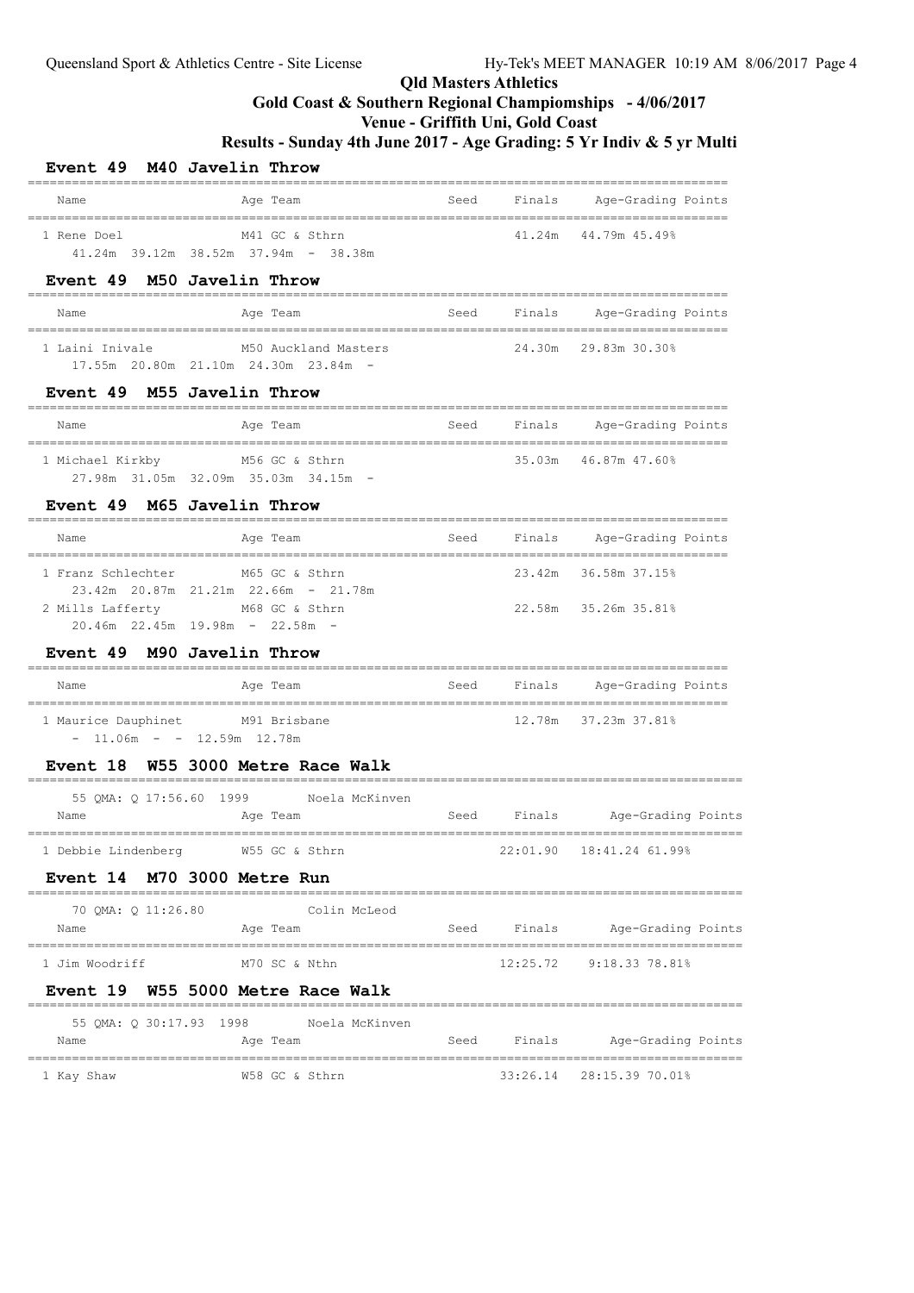### **Qld Masters Athletics Gold Coast & Southern Regional Champiomships - 4/06/2017**

**Venue - Griffith Uni, Gold Coast**

**Results - Sunday 4th June 2017 - Age Grading: 5 Yr Indiv & 5 yr Multi**

| Event 49 M40 Javelin Throw                                                                    |                |                          |      |             |                                |  |
|-----------------------------------------------------------------------------------------------|----------------|--------------------------|------|-------------|--------------------------------|--|
| Name                                                                                          |                | Age Team                 | Seed |             | Finals Age-Grading Points      |  |
| 1 Rene Doel<br>$41.24m$ 39.12m 38.52m 37.94m - 38.38m                                         |                | M41 GC & Sthrn           |      | 41.24m      | 44.79m 45.49%                  |  |
| Event 49 M50 Javelin Throw                                                                    |                |                          |      |             |                                |  |
| Name                                                                                          |                | Age Team                 |      |             | Seed Finals Age-Grading Points |  |
| 1 Laini Inivale<br>17.55m 20.80m 21.10m 24.30m 23.84m -                                       |                | M50 Auckland Masters     |      |             | 24.30m 29.83m 30.30%           |  |
| Event 49 M55 Javelin Throw                                                                    |                |                          |      |             |                                |  |
| Name                                                                                          |                | Age Team                 | Seed |             | Finals Age-Grading Points      |  |
| 1 Michael Kirkby<br>27.98m 31.05m 32.09m 35.03m 34.15m -                                      |                | M56 GC & Sthrn           |      |             | 35.03m 46.87m 47.60%           |  |
| Event 49 M65 Javelin Throw                                                                    |                |                          |      |             |                                |  |
| Name                                                                                          |                | Age Team                 | Seed |             | Finals Age-Grading Points      |  |
| 1 Franz Schlechter                                                                            |                | M65 GC & Sthrn           |      |             | 23.42m 36.58m 37.15%           |  |
| 23.42m 20.87m 21.21m 22.66m - 21.78m<br>2 Mills Lafferty<br>$20.46m$ 22.45m 19.98m - 22.58m - | M68 GC & Sthrn |                          |      |             | 22.58m 35.26m 35.81%           |  |
| Event 49 M90 Javelin Throw                                                                    |                |                          |      |             |                                |  |
| Name                                                                                          |                | Age Team                 | Seed |             | Finals Age-Grading Points      |  |
| 1 Maurice Dauphinet M91 Brisbane<br>$-11.06m - - 12.59m 12.78m$                               |                |                          |      |             | 12.78m 37.23m 37.81%           |  |
| Event 18 W55 3000 Metre Race Walk                                                             |                |                          |      |             |                                |  |
| 55 QMA: Q 17:56.60 1999 Noela McKinven<br>Name                                                |                | Age Team                 |      |             | Seed Finals Age-Grading Points |  |
|                                                                                               |                |                          |      |             |                                |  |
| 1 Debbie Lindenberg                                                                           |                | W55 GC & Sthrn           |      | 22:01.90    | 18:41.24 61.99%                |  |
| Event 14 M70 3000 Metre Run                                                                   |                |                          |      |             |                                |  |
| 70 QMA: Q 11:26.80<br>Name                                                                    |                | Colin McLeod<br>Age Team |      | Seed Finals | Age-Grading Points             |  |
| 1 Jim Woodriff                                                                                |                | M70 SC & Nthn            |      |             | 12:25.72 9:18.33 78.81%        |  |
| Event 19 W55 5000 Metre Race Walk                                                             |                |                          |      |             |                                |  |
| 55 QMA: Q 30:17.93 1998 Noela McKinven<br>Name                                                |                | Age Team                 |      |             | Seed Finals Age-Grading Points |  |
|                                                                                               |                |                          |      |             |                                |  |

1 Kay Shaw W58 GC & Sthrn 33:26.14 28:15.39 70.01%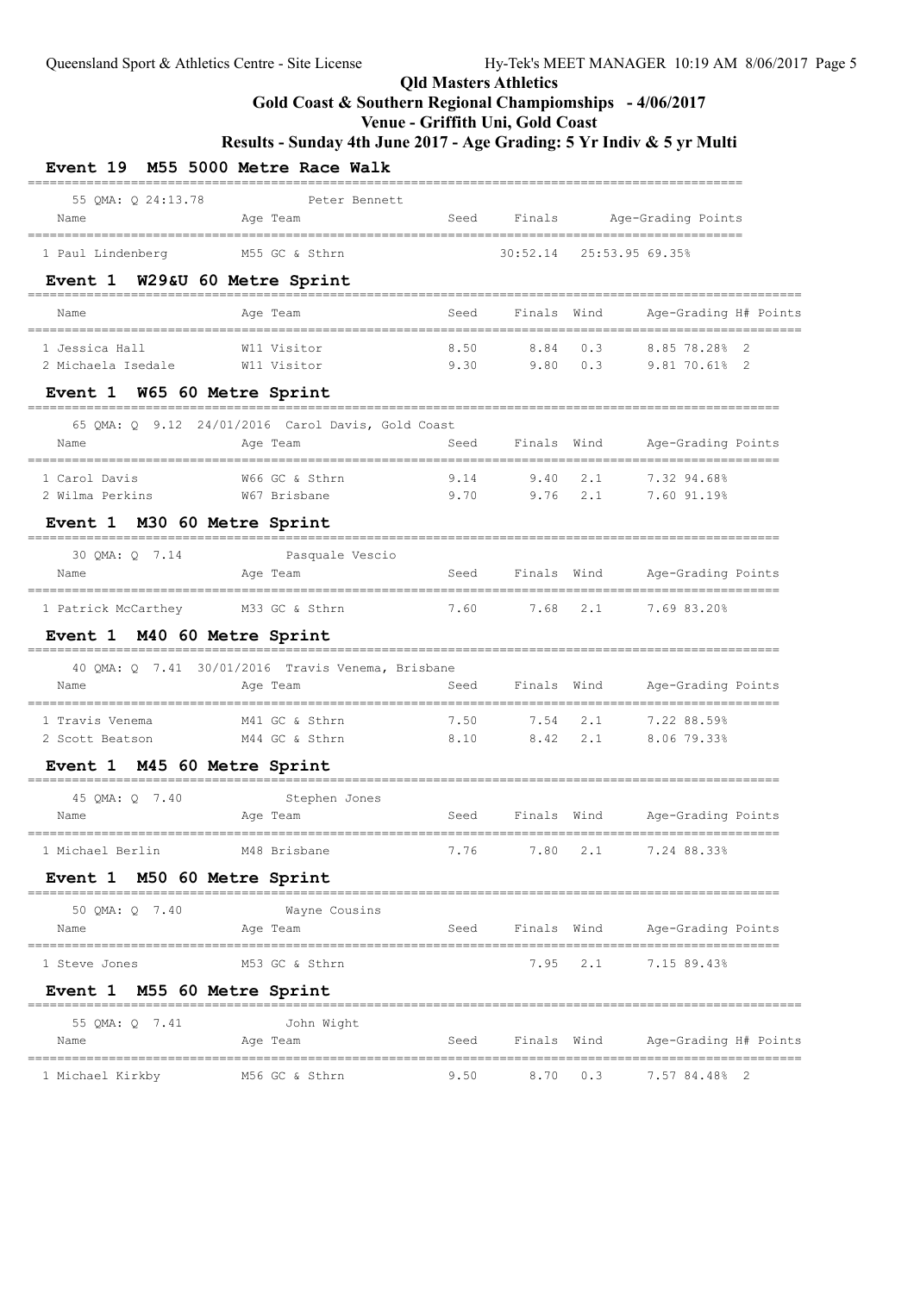### **Gold Coast & Southern Regional Champiomships - 4/06/2017**

### **Venue - Griffith Uni, Gold Coast**

| 55 OMA: 0 24:13.78<br>Name                       | Peter Bennett<br>Age Team                         |                           |                   |             | Seed Finals Age-Grading Points      |  |
|--------------------------------------------------|---------------------------------------------------|---------------------------|-------------------|-------------|-------------------------------------|--|
| 1 Paul Lindenberg                                | M55 GC & Sthrn                                    | _______________           |                   |             | 30:52.14 25:53.95 69.35%            |  |
| Event 1 W29&U 60 Metre Sprint                    |                                                   |                           |                   |             |                                     |  |
| Name                                             | Age Team                                          | Seed                      | Finals Wind       |             | Age-Grading H# Points               |  |
| 1 Jessica Hall<br>2 Michaela Isedale M11 Visitor | W11 Visitor                                       | 8.50                      | 8.84<br>9.30 9.80 | 0.3<br>0.3  | 8.85 78.28%<br>9.81 70.618 2        |  |
| Event 1 W65 60 Metre Sprint                      |                                                   |                           |                   |             |                                     |  |
|                                                  | 65 QMA: Q 9.12 24/01/2016 Carol Davis, Gold Coast | ________________________  |                   |             |                                     |  |
| Name                                             | Age Team                                          |                           | Seed Finals Wind  |             | Age-Grading Points                  |  |
| 1 Carol Davis                                    | W66 GC & Sthrn                                    | 9.14                      | 9.40              | 2.1         | 7.32 94.68%                         |  |
| 2 Wilma Perkins                                  | W67 Brisbane                                      | $9.70$ $9.76$ $2.1$       |                   |             | 7.60 91.19%                         |  |
| Event 1 M30 60 Metre Sprint                      |                                                   |                           |                   |             |                                     |  |
| 30 QMA: Q 7.14                                   | Pasquale Vescio                                   | --------------            |                   |             |                                     |  |
| Name                                             | Age Team                                          | Seed                      |                   | Finals Wind | Age-Grading Points                  |  |
| 1 Patrick McCarthey M33 GC & Sthrn               |                                                   | 7.60                      | 7.68              | 2.1         | 7.69 83.20%                         |  |
| Event 1 M40 60 Metre Sprint                      |                                                   | ------------------------- |                   |             |                                     |  |
|                                                  | 40 QMA: Q 7.41 30/01/2016 Travis Venema, Brisbane |                           |                   |             |                                     |  |
| Name                                             | Age Team                                          | Seed                      | Finals Wind       |             | Age-Grading Points                  |  |
| 1 Travis Venema                                  | M41 GC & Sthrn                                    | 7.50                      | 7.54              | 2.1         | 7.22 88.59%                         |  |
| 2 Scott Beatson                                  | M44 GC & Sthrn                                    | 8.10                      | 8.42              | 2.1         | 8.06 79.33%                         |  |
| Event 1 M45 60 Metre Sprint                      |                                                   |                           |                   |             |                                     |  |
| 45 QMA: Q 7.40                                   | Stephen Jones                                     |                           |                   |             |                                     |  |
| Name                                             | Age Team<br>-----------------                     | Seed                      |                   |             | Finals Wind Age-Grading Points      |  |
| 1 Michael Berlin                                 | M48 Brisbane                                      | 7.76                      |                   |             | 7.80 2.1 7.24 88.33%                |  |
| Event 1 M50 60 Metre Sprint                      |                                                   |                           |                   |             |                                     |  |
| 50 QMA: Q 7.40                                   | Wayne Cousins                                     |                           |                   |             |                                     |  |
| Name                                             | Age Team                                          |                           |                   |             | Seed Finals Wind Age-Grading Points |  |
| 1 Steve Jones                                    | M53 GC & Sthrn                                    |                           |                   |             | 7.95 2.1 7.15 89.43%                |  |
| Event 1 M55 60 Metre Sprint                      |                                                   |                           |                   |             |                                     |  |
| 55 QMA: Q 7.41                                   | John Wight                                        |                           |                   |             |                                     |  |
|                                                  | Age Team                                          |                           | Seed Finals Wind  |             | Age-Grading H# Points               |  |
| Name                                             |                                                   |                           |                   |             |                                     |  |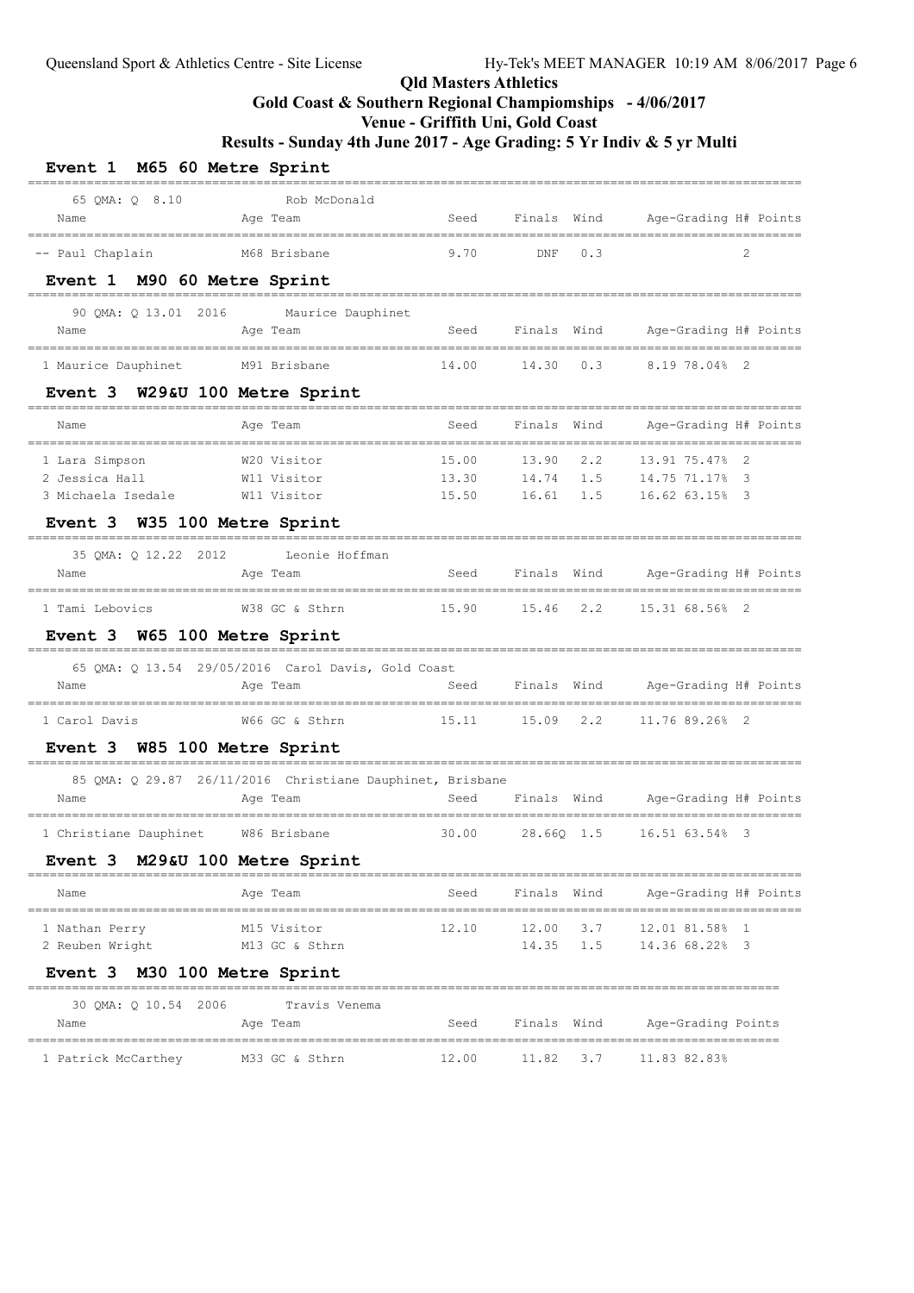## **Gold Coast & Southern Regional Champiomships - 4/06/2017**

### **Venue - Griffith Uni, Gold Coast**

| Event 1 M65 60 Metre Sprint               |                                                           |                         |             |      |                                                        |
|-------------------------------------------|-----------------------------------------------------------|-------------------------|-------------|------|--------------------------------------------------------|
| 65 QMA: Q 8.10                            | Rob McDonald                                              |                         |             |      |                                                        |
| Name<br>==========================        | Age Team                                                  | Seed                    |             |      | Finals Wind Age-Grading H# Points                      |
| -- Paul Chaplain                          | M68 Brisbane                                              | 9.70                    | DNF         | 0.3  | $\mathcal{L}$                                          |
| Event 1 M90 60 Metre Sprint               |                                                           |                         |             |      |                                                        |
| 90 QMA: Q 13.01 2016                      | Maurice Dauphinet                                         |                         |             |      |                                                        |
| Name<br>================================= | Age Team                                                  | Seed                    | Finals Wind |      | Age-Grading H# Points<br>_____________________________ |
| 1 Maurice Dauphinet                       | M91 Brisbane                                              | 14.00                   | 14.30       | 0.3  | 8.19 78.04% 2                                          |
| Event 3 W29&U 100 Metre Sprint            |                                                           |                         |             |      |                                                        |
| Name                                      | Age Team                                                  | Seed                    | Finals      | Wind | Age-Grading H# Points<br>==================            |
| 1 Lara Simpson                            | W20 Visitor                                               | 15.00                   | 13.90       | 2.2  | 13.91 75.47%                                           |
| 2 Jessica Hall                            | W11 Visitor                                               | 13.30                   | 14.74       | 1.5  | 14.75 71.17% 3                                         |
| 3 Michaela Isedale                        | W11 Visitor                                               | 15.50                   | 16.61       | 1.5  | 16.62 63.15% 3                                         |
| Event 3 W35 100 Metre Sprint              |                                                           |                         |             |      |                                                        |
|                                           | 35 QMA: Q 12.22 2012 Leonie Hoffman                       |                         |             |      |                                                        |
| Name                                      | Age Team                                                  | Seed                    | Finals Wind |      | Age-Grading H# Points                                  |
| 1 Tami Lebovics                           | W38 GC & Sthrn                                            | 15.90                   | 15.46 2.2   |      | 15.31 68.56% 2                                         |
| Event 3 W65 100 Metre Sprint              |                                                           |                         |             |      |                                                        |
|                                           | 65 QMA: Q 13.54 29/05/2016 Carol Davis, Gold Coast        |                         |             |      |                                                        |
| Name                                      | Age Team                                                  | Seed                    | Finals Wind |      | Age-Grading H# Points                                  |
| 1 Carol Davis                             | W66 GC & Sthrn                                            | 15.11                   | 15.09 2.2   |      | 11.76 89.26% 2                                         |
| Event 3 W85 100 Metre Sprint              |                                                           |                         |             |      |                                                        |
|                                           | 85 QMA: Q 29.87 26/11/2016 Christiane Dauphinet, Brisbane |                         |             |      |                                                        |
| Name                                      | Age Team                                                  | Seed                    | Finals Wind |      | Age-Grading H# Points                                  |
| 1 Christiane Dauphinet                    | W86 Brisbane                                              | 30.00                   | 28.66Q 1.5  |      | 16.51 63.54% 3                                         |
| Event 3 M29&U 100 Metre Sprint            |                                                           |                         |             |      |                                                        |
| Name                                      | Age Team                                                  | _______________<br>Seed | Finals Wind |      | Age-Grading H# Points                                  |
| 1 Nathan Perry                            | M15 Visitor                                               | 12.10                   | 12.00       | 3.7  | 12.01 81.58%<br>-1                                     |
| 2 Reuben Wright                           | M13 GC & Sthrn                                            |                         |             |      | 14.35 1.5 14.36 68.22% 3                               |
| Event 3 M30 100 Metre Sprint              |                                                           |                         |             |      |                                                        |
| 30 OMA: 0 10.54 2006                      | Travis Venema                                             |                         |             |      |                                                        |
| Name                                      | Age Team                                                  | Seed                    | Finals Wind |      | Age-Grading Points                                     |
| 1 Patrick McCarthey                       | M33 GC & Sthrn                                            | 12.00                   | 11.82       | 3.7  | 11.83 82.83%                                           |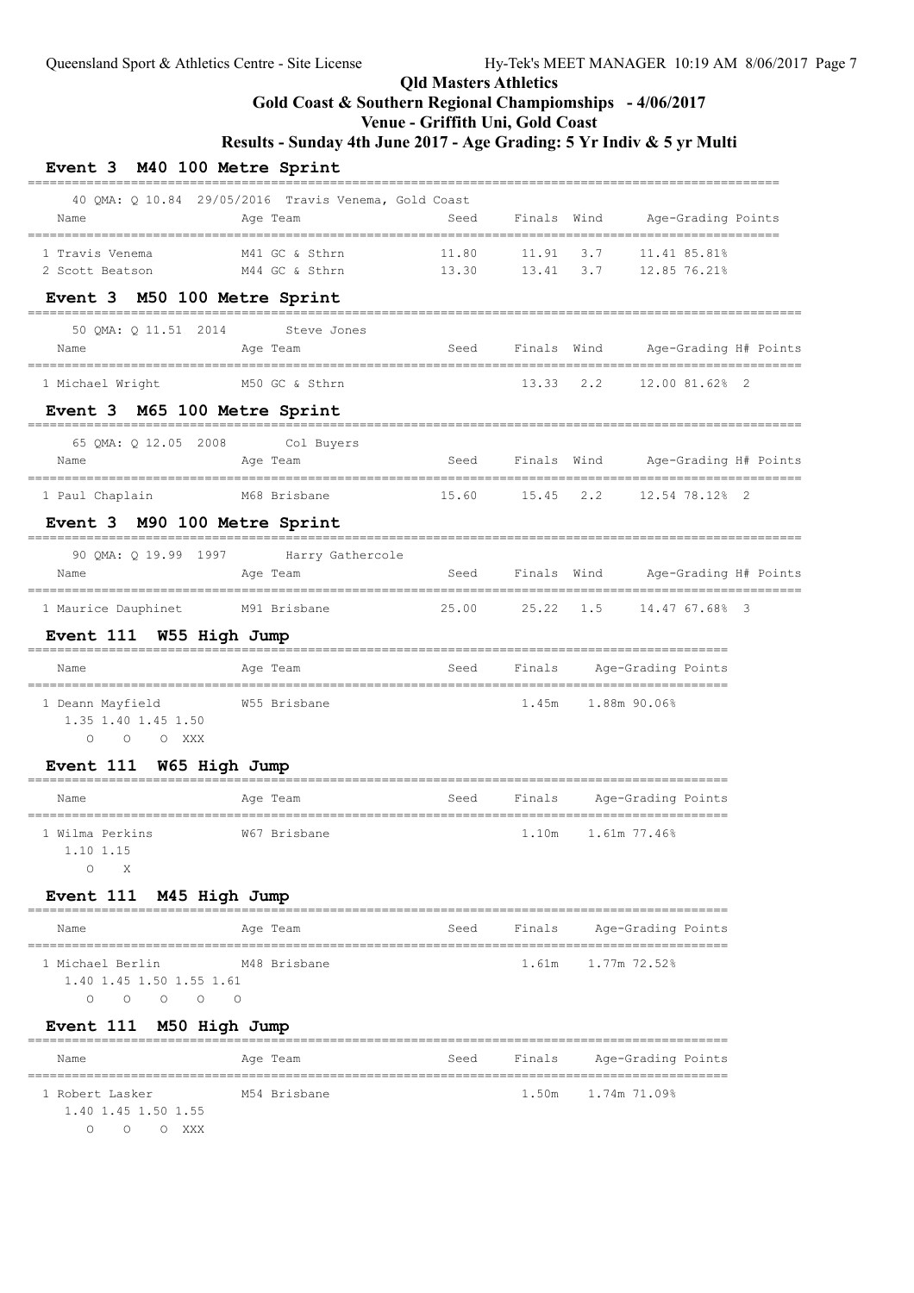## **Gold Coast & Southern Regional Champiomships - 4/06/2017**

## **Venue - Griffith Uni, Gold Coast**

**Results - Sunday 4th June 2017 - Age Grading: 5 Yr Indiv & 5 yr Multi**

### **Event 3 M40 100 Metre Sprint**

| Name                                                                                       | 40 QMA: Q 10.84 29/05/2016 Travis Venema, Gold Coast<br>Age Team | Seed  |           |                           | Finals Wind Age-Grading Points                             |  |
|--------------------------------------------------------------------------------------------|------------------------------------------------------------------|-------|-----------|---------------------------|------------------------------------------------------------|--|
| 1 Travis Venema<br>2 Scott Beatson                                                         | M41 GC & Sthrn<br>M44 GC & Sthrn                                 | 11.80 |           |                           | 11.91 3.7 11.41 85.81%<br>13.30  13.41  3.7  12.85  76.21% |  |
| Event 3 M50 100 Metre Sprint                                                               |                                                                  |       |           |                           |                                                            |  |
| 50 QMA: Q 11.51 2014 Steve Jones                                                           |                                                                  |       |           |                           |                                                            |  |
| Name                                                                                       | Age Team                                                         |       |           |                           | Seed Finals Wind Age-Grading H# Points                     |  |
| 1 Michael Wright                                                                           | M50 GC & Sthrn                                                   |       | 13.33 2.2 |                           | 12.00 81.62% 2                                             |  |
| Event 3 M65 100 Metre Sprint                                                               |                                                                  |       |           |                           |                                                            |  |
| 65 QMA: Q 12.05 2008 Col Buyers                                                            |                                                                  |       |           |                           |                                                            |  |
| Name<br>---------------------------------                                                  | Age Team                                                         |       |           |                           | Seed Finals Wind Age-Grading H# Points                     |  |
| 1 Paul Chaplain                                                                            | M68 Brisbane                                                     |       |           |                           | 15.60  15.45  2.2  12.54  78.12%  2                        |  |
| Event 3 M90 100 Metre Sprint                                                               |                                                                  |       |           |                           |                                                            |  |
|                                                                                            | 90 QMA: Q 19.99 1997 Harry Gathercole                            |       |           |                           |                                                            |  |
| Name                                                                                       | Age Team                                                         |       |           |                           | Seed Finals Wind Age-Grading H# Points                     |  |
| 1 Maurice Dauphinet                                                                        | M91 Brisbane                                                     |       |           |                           | 25.00 25.22 1.5 14.47 67.68% 3                             |  |
| Event 111 W55 High Jump                                                                    |                                                                  |       |           |                           |                                                            |  |
| Name                                                                                       | Age Team                                                         | Seed  |           | Finals Age-Grading Points |                                                            |  |
| 1 Deann Mayfield<br>1.35 1.40 1.45 1.50<br>O O O XXX                                       | W55 Brisbane                                                     |       |           |                           | 1.45m 1.88m 90.06%                                         |  |
| Event 111 W65 High Jump                                                                    |                                                                  |       |           |                           |                                                            |  |
| Name                                                                                       | Age Team                                                         | Seed  |           | Finals Age-Grading Points |                                                            |  |
| 1 Wilma Perkins<br>1.10 1.15<br>$\circ$ 0                                                  | W67 Brisbane                                                     |       | 1.10m     |                           | 1.61m 77.46%                                               |  |
| Event 111 M45 High Jump                                                                    |                                                                  |       |           |                           |                                                            |  |
| Name                                                                                       | ========<br>Age Team                                             | Seed  | Finals    |                           | Age-Grading Points                                         |  |
| 1 Michael Berlin<br>1.40 1.45 1.50 1.55 1.61<br>$\Omega$<br>$\Omega$<br>$\circ$<br>$\circ$ | M48 Brisbane<br>$\Omega$                                         |       | 1.61m     |                           | 1.77m 72.52%                                               |  |
| Event 111 M50 High Jump                                                                    |                                                                  |       |           |                           |                                                            |  |
| Name                                                                                       | -------------------<br>Age Team                                  | Seed  | Finals    |                           | Age-Grading Points                                         |  |
| 1 Robert Lasker                                                                            | M54 Brisbane                                                     |       | 1.50m     |                           | ===============<br>1.74m 71.09%                            |  |

1.40 1.45 1.50 1.55

O O O XXX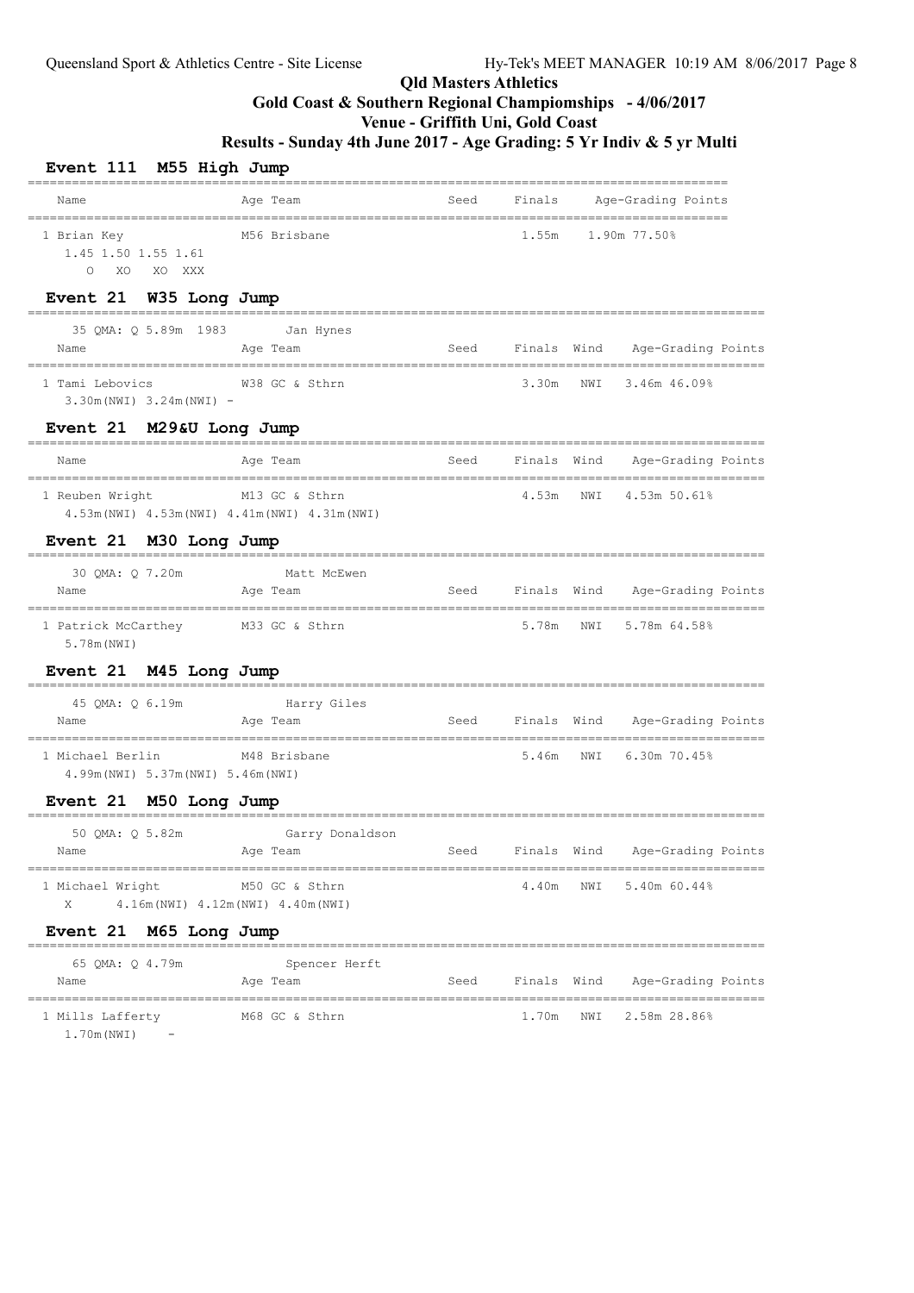## **Qld Masters Athletics Gold Coast & Southern Regional Champiomships - 4/06/2017**

## **Venue - Griffith Uni, Gold Coast**

**Results - Sunday 4th June 2017 - Age Grading: 5 Yr Indiv & 5 yr Multi**

| Event 111 M55 High Jump                                         |                                                                                               |      |             |     |                                            |
|-----------------------------------------------------------------|-----------------------------------------------------------------------------------------------|------|-------------|-----|--------------------------------------------|
| Name                                                            | Age Team                                                                                      | Seed | Finals      |     | Age-Grading Points                         |
| 1 Brian Key<br>1.45 1.50 1.55 1.61<br>XO<br>XO XXX<br>$\circ$   | M56 Brisbane                                                                                  |      | 1.55m       |     | 1.90m 77.50%                               |
| Event 21 W35 Long Jump                                          | ---------------                                                                               |      |             |     |                                            |
| 35 QMA: Q 5.89m 1983 Jan Hynes<br>Name                          | Age Team                                                                                      | Seed | Finals Wind |     | Age-Grading Points                         |
| 1 Tami Lebovics<br>$3.30m(NWI)$ $3.24m(NWI)$ -                  | W38 GC & Sthrn                                                                                |      | 3.30m       | NWI | $3.46m$ $46.09%$                           |
| Event 21 M29&U Long Jump                                        |                                                                                               |      |             |     |                                            |
| Name                                                            | Age Team                                                                                      | Seed |             |     | Finals Wind Age-Grading Points             |
| ----------------------<br>1 Reuben Wright                       | M13 GC & Sthrn<br>4.53m (NWI) 4.53m (NWI) 4.41m (NWI) 4.31m (NWI)                             |      | 4.53m       | NWI | 4.53m 50.61%                               |
| Event 21 M30 Long Jump                                          |                                                                                               |      |             |     |                                            |
| 30 QMA: Q 7.20m<br>Name                                         | Matt McEwen<br>Age Team                                                                       | Seed | Finals Wind |     | Age-Grading Points                         |
| 1 Patrick McCarthey M33 GC & Sthrn<br>5.78m (NWI)               |                                                                                               |      | 5.78m       | NWI | 5.78m 64.58%                               |
| Event 21 M45 Long Jump                                          |                                                                                               |      |             |     |                                            |
| 45 QMA: Q 6.19m<br>Name                                         | Harry Giles<br>Age Team                                                                       | Seed | Finals Wind |     | Age-Grading Points                         |
| 1 Michael Berlin<br>4.99m (NWI) 5.37m (NWI) 5.46m (NWI)         | M48 Brisbane                                                                                  |      | 5.46m       | NWI | 6.30m 70.45%                               |
| Event 21 M50 Long Jump                                          |                                                                                               |      |             |     |                                            |
| 50 QMA: Q 5.82m<br>Name                                         | Garry Donaldson<br>Age Team                                                                   | Seed | Finals Wind |     | Age-Grading Points                         |
| ======================================<br>1 Michael Wright<br>X | ====================================<br>M50 GC & Sthrn<br>4.16m (NWI) 4.12m (NWI) 4.40m (NWI) |      | 4.40m       | NWI | 5.40m 60.44%                               |
| Event 21 M65 Long Jump                                          |                                                                                               |      |             |     |                                            |
| 65 QMA: Q 4.79m<br>Name                                         | __________________________<br>Spencer Herft<br>Age Team                                       | Seed | Finals Wind |     | Age-Grading Points                         |
| 1 Mills Lafferty M68 GC & Sthrn                                 |                                                                                               |      | 1.70m       | NWI | --------------------------<br>2.58m 28.86% |

1.70m(NWI) -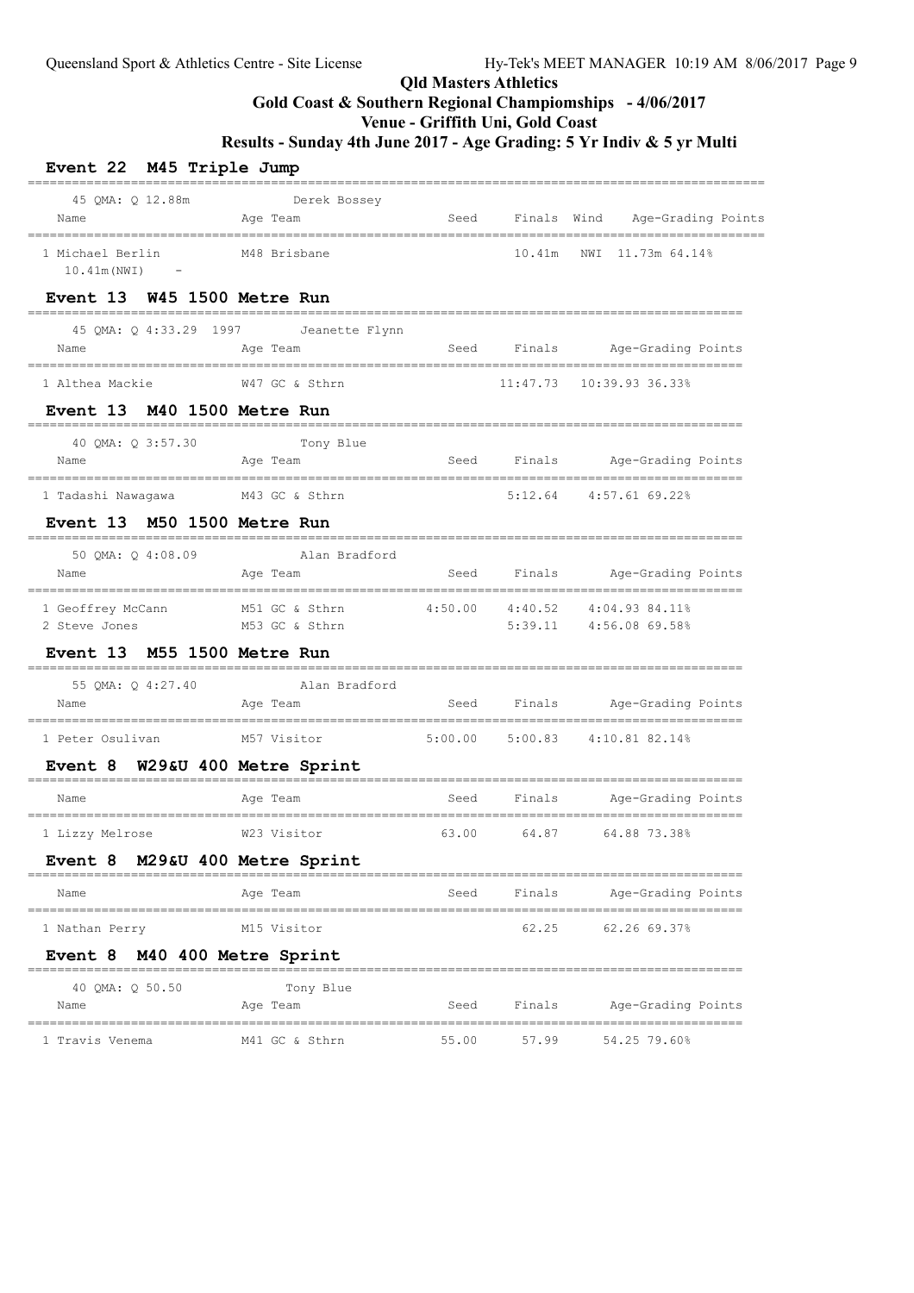# **Gold Coast & Southern Regional Champiomships - 4/06/2017**

## **Venue - Griffith Uni, Gold Coast**

| Event 22 M45 Triple Jump                       |                                                     |       |             |                                                                   |  |
|------------------------------------------------|-----------------------------------------------------|-------|-------------|-------------------------------------------------------------------|--|
| 45 QMA: Q 12.88m<br>Name                       | Derek Bossey<br>Age Team                            | Seed  | Finals Wind | Age-Grading Points                                                |  |
| 1 Michael Berlin<br>10.41m (NWI)<br>$\sim$ $-$ | M48 Brisbane                                        |       | 10.41m      | NWI<br>11.73m 64.14%                                              |  |
| Event 13 W45 1500 Metre Run                    |                                                     |       |             |                                                                   |  |
| Name                                           | 45 QMA: Q 4:33.29 1997 Jeanette Flynn<br>Age Team   | Seed  |             | Finals Age-Grading Points                                         |  |
|                                                |                                                     |       |             | 11:47.73  10:39.93  36.33%                                        |  |
| <b>Event 13 M40 1500 Metre Run</b>             |                                                     |       |             |                                                                   |  |
| 40 QMA: Q 3:57.30<br>Name                      | Tony Blue<br>Age Team                               | Seed  |             | Finals Age-Grading Points<br>=========================            |  |
| 1 Tadashi Nawagawa                             | M43 GC & Sthrn                                      |       |             | 5:12.64 4:57.61 69.22%                                            |  |
| Event 13 M50 1500 Metre Run                    |                                                     |       |             |                                                                   |  |
| 50 QMA: Q 4:08.09<br>Name                      | Alan Bradford<br>Age Team                           |       |             | Seed Finals Age-Grading Points                                    |  |
| 1 Geoffrey McCann<br>2 Steve Jones             | M51 GC & Sthrn<br>M53 GC & Sthrn                    |       |             | $4:50.00$ $4:40.52$ $4:04.93$ $84.11\%$<br>5:39.11 4:56.08 69.58% |  |
| Event 13 M55 1500 Metre Run                    |                                                     |       |             |                                                                   |  |
| 55 QMA: Q 4:27.40<br>Name                      | Alan Bradford<br>Age Team                           |       |             | Seed Finals Age-Grading Points                                    |  |
| 1 Peter Osulivan                               | M57 Visitor                                         |       |             | 5:00.00 5:00.83 4:10.81 82.14%                                    |  |
| Event 8 W29&U 400 Metre Sprint                 |                                                     |       |             |                                                                   |  |
| Name                                           | Age Team                                            | Seed  | Finals      | Age-Grading Points                                                |  |
| 1 Lizzy Melrose                                | W23 Visitor                                         | 63.00 | 64.87       | 64.88 73.38%                                                      |  |
| Event 8 M29&U 400 Metre Sprint                 |                                                     |       |             |                                                                   |  |
| Name                                           | Age Team                                            | Seed  | Finals      | Age-Grading Points                                                |  |
| 1 Nathan Perry                                 | M15 Visitor                                         |       | 62.25       | 62.2669.37%                                                       |  |
| <b>M40 400 Metre Sprint</b><br><b>Event 8</b>  |                                                     |       |             |                                                                   |  |
| 40 QMA: Q 50.50<br>Name                        | --------------------------<br>Tony Blue<br>Age Team | Seed  | Finals      | Age-Grading Points                                                |  |
| 1 Travis Venema                                | M41 GC & Sthrn                                      | 55.00 | 57.99       | ---------------<br>54.25 79.60%                                   |  |